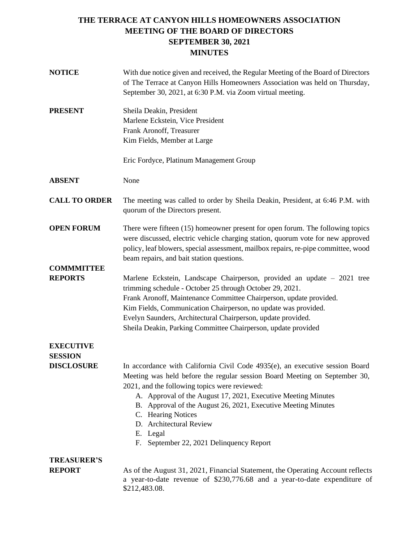| <b>NOTICE</b>                       | With due notice given and received, the Regular Meeting of the Board of Directors<br>of The Terrace at Canyon Hills Homeowners Association was held on Thursday,<br>September 30, 2021, at 6:30 P.M. via Zoom virtual meeting.                                                                                                                                                                                                                            |
|-------------------------------------|-----------------------------------------------------------------------------------------------------------------------------------------------------------------------------------------------------------------------------------------------------------------------------------------------------------------------------------------------------------------------------------------------------------------------------------------------------------|
| <b>PRESENT</b>                      | Sheila Deakin, President<br>Marlene Eckstein, Vice President<br>Frank Aronoff, Treasurer<br>Kim Fields, Member at Large                                                                                                                                                                                                                                                                                                                                   |
|                                     | Eric Fordyce, Platinum Management Group                                                                                                                                                                                                                                                                                                                                                                                                                   |
| <b>ABSENT</b>                       | None                                                                                                                                                                                                                                                                                                                                                                                                                                                      |
| <b>CALL TO ORDER</b>                | The meeting was called to order by Sheila Deakin, President, at 6:46 P.M. with<br>quorum of the Directors present.                                                                                                                                                                                                                                                                                                                                        |
| <b>OPEN FORUM</b>                   | There were fifteen (15) homeowner present for open forum. The following topics<br>were discussed, electric vehicle charging station, quorum vote for new approved<br>policy, leaf blowers, special assessment, mailbox repairs, re-pipe committee, wood<br>beam repairs, and bait station questions.                                                                                                                                                      |
| <b>COMMMITTEE</b><br><b>REPORTS</b> | Marlene Eckstein, Landscape Chairperson, provided an update - 2021 tree<br>trimming schedule - October 25 through October 29, 2021.<br>Frank Aronoff, Maintenance Committee Chairperson, update provided.<br>Kim Fields, Communication Chairperson, no update was provided.<br>Evelyn Saunders, Architectural Chairperson, update provided.<br>Sheila Deakin, Parking Committee Chairperson, update provided                                              |
| <b>EXECUTIVE</b><br><b>SESSION</b>  |                                                                                                                                                                                                                                                                                                                                                                                                                                                           |
| <b>DISCLOSURE</b>                   | In accordance with California Civil Code 4935(e), an executive session Board<br>Meeting was held before the regular session Board Meeting on September 30,<br>2021, and the following topics were reviewed:<br>A. Approval of the August 17, 2021, Executive Meeting Minutes<br>B. Approval of the August 26, 2021, Executive Meeting Minutes<br>C. Hearing Notices<br>D. Architectural Review<br>E. Legal<br>September 22, 2021 Delinquency Report<br>F. |
| <b>TREASURER'S</b>                  |                                                                                                                                                                                                                                                                                                                                                                                                                                                           |
| <b>REPORT</b>                       | As of the August 31, 2021, Financial Statement, the Operating Account reflects<br>a year-to-date revenue of \$230,776.68 and a year-to-date expenditure of<br>\$212,483.08.                                                                                                                                                                                                                                                                               |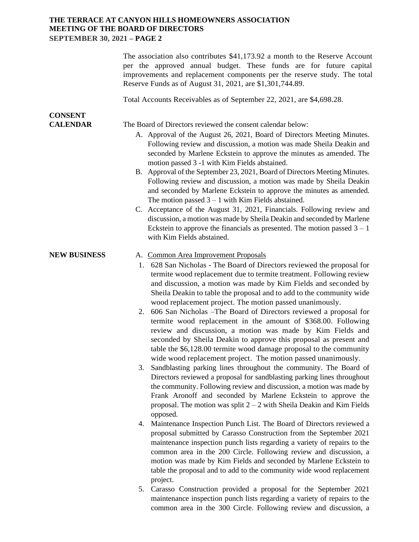|                                   | The association also contributes \$41,173.92 a month to the Reserve Account<br>per the approved annual budget. These funds are for future capital<br>improvements and replacement components per the reserve study. The total<br>Reserve Funds as of August 31, 2021, are \$1,301,744.89.                                                                                                                                                                                                                                                                                                                                                                                                                                                                                                                                                                                                                                                                                                                                                                                                                                                                                                                                                                                                                                                                                                                                                                                                                                                                                                                                                                            |
|-----------------------------------|----------------------------------------------------------------------------------------------------------------------------------------------------------------------------------------------------------------------------------------------------------------------------------------------------------------------------------------------------------------------------------------------------------------------------------------------------------------------------------------------------------------------------------------------------------------------------------------------------------------------------------------------------------------------------------------------------------------------------------------------------------------------------------------------------------------------------------------------------------------------------------------------------------------------------------------------------------------------------------------------------------------------------------------------------------------------------------------------------------------------------------------------------------------------------------------------------------------------------------------------------------------------------------------------------------------------------------------------------------------------------------------------------------------------------------------------------------------------------------------------------------------------------------------------------------------------------------------------------------------------------------------------------------------------|
|                                   | Total Accounts Receivables as of September 22, 2021, are \$4,698.28.                                                                                                                                                                                                                                                                                                                                                                                                                                                                                                                                                                                                                                                                                                                                                                                                                                                                                                                                                                                                                                                                                                                                                                                                                                                                                                                                                                                                                                                                                                                                                                                                 |
| <b>CONSENT</b><br><b>CALENDAR</b> | The Board of Directors reviewed the consent calendar below:<br>A. Approval of the August 26, 2021, Board of Directors Meeting Minutes.<br>Following review and discussion, a motion was made Sheila Deakin and<br>seconded by Marlene Eckstein to approve the minutes as amended. The<br>motion passed 3 -1 with Kim Fields abstained.<br>B. Approval of the September 23, 2021, Board of Directors Meeting Minutes.<br>Following review and discussion, a motion was made by Sheila Deakin<br>and seconded by Marlene Eckstein to approve the minutes as amended.<br>The motion passed $3 - 1$ with Kim Fields abstained.<br>C. Acceptance of the August 31, 2021, Financials. Following review and<br>discussion, a motion was made by Sheila Deakin and seconded by Marlene<br>Eckstein to approve the financials as presented. The motion passed $3 - 1$<br>with Kim Fields abstained.                                                                                                                                                                                                                                                                                                                                                                                                                                                                                                                                                                                                                                                                                                                                                                           |
| <b>NEW BUSINESS</b>               | A. Common Area Improvement Proposals<br>1. 628 San Nicholas - The Board of Directors reviewed the proposal for<br>termite wood replacement due to termite treatment. Following review<br>and discussion, a motion was made by Kim Fields and seconded by<br>Sheila Deakin to table the proposal and to add to the community wide<br>wood replacement project. The motion passed unanimously.<br>2. 606 San Nicholas – The Board of Directors reviewed a proposal for<br>termite wood replacement in the amount of \$368.00. Following<br>review and discussion, a motion was made by Kim Fields and<br>seconded by Sheila Deakin to approve this proposal as present and<br>table the \$6,128.00 termite wood damage proposal to the community<br>wide wood replacement project. The motion passed unanimously.<br>Sandblasting parking lines throughout the community. The Board of<br>3.<br>Directors reviewed a proposal for sandblasting parking lines throughout<br>the community. Following review and discussion, a motion was made by<br>Frank Aronoff and seconded by Marlene Eckstein to approve the<br>proposal. The motion was split $2 - 2$ with Sheila Deakin and Kim Fields<br>opposed.<br>Maintenance Inspection Punch List. The Board of Directors reviewed a<br>4.<br>proposal submitted by Carasso Construction from the September 2021<br>maintenance inspection punch lists regarding a variety of repairs to the<br>common area in the 200 Circle. Following review and discussion, a<br>motion was made by Kim Fields and seconded by Marlene Eckstein to<br>table the proposal and to add to the community wide wood replacement<br>project. |
|                                   | 5. Carasso Construction provided a proposal for the September 2021                                                                                                                                                                                                                                                                                                                                                                                                                                                                                                                                                                                                                                                                                                                                                                                                                                                                                                                                                                                                                                                                                                                                                                                                                                                                                                                                                                                                                                                                                                                                                                                                   |

5. Carasso Construction provided a proposal for the September 2021 maintenance inspection punch lists regarding a variety of repairs to the common area in the 300 Circle. Following review and discussion, a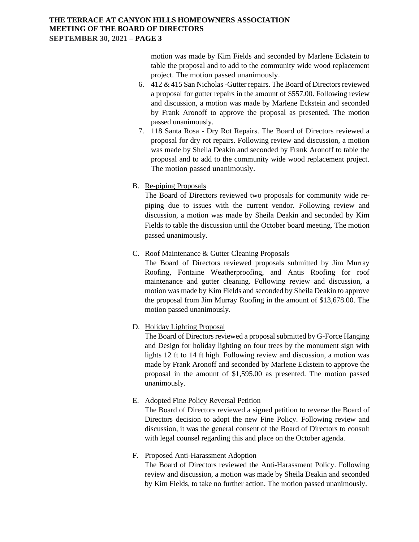motion was made by Kim Fields and seconded by Marlene Eckstein to table the proposal and to add to the community wide wood replacement project. The motion passed unanimously.

- 6. 412 & 415 San Nicholas -Gutter repairs. The Board of Directors reviewed a proposal for gutter repairs in the amount of \$557.00. Following review and discussion, a motion was made by Marlene Eckstein and seconded by Frank Aronoff to approve the proposal as presented. The motion passed unanimously.
- 7. 118 Santa Rosa Dry Rot Repairs. The Board of Directors reviewed a proposal for dry rot repairs. Following review and discussion, a motion was made by Sheila Deakin and seconded by Frank Aronoff to table the proposal and to add to the community wide wood replacement project. The motion passed unanimously.
- B. Re-piping Proposals

The Board of Directors reviewed two proposals for community wide repiping due to issues with the current vendor. Following review and discussion, a motion was made by Sheila Deakin and seconded by Kim Fields to table the discussion until the October board meeting. The motion passed unanimously.

C. Roof Maintenance & Gutter Cleaning Proposals

The Board of Directors reviewed proposals submitted by Jim Murray Roofing, Fontaine Weatherproofing, and Antis Roofing for roof maintenance and gutter cleaning. Following review and discussion, a motion was made by Kim Fields and seconded by Sheila Deakin to approve the proposal from Jim Murray Roofing in the amount of \$13,678.00. The motion passed unanimously.

D. Holiday Lighting Proposal

The Board of Directors reviewed a proposal submitted by G-Force Hanging and Design for holiday lighting on four trees by the monument sign with lights 12 ft to 14 ft high. Following review and discussion, a motion was made by Frank Aronoff and seconded by Marlene Eckstein to approve the proposal in the amount of \$1,595.00 as presented. The motion passed unanimously.

E. Adopted Fine Policy Reversal Petition

The Board of Directors reviewed a signed petition to reverse the Board of Directors decision to adopt the new Fine Policy. Following review and discussion, it was the general consent of the Board of Directors to consult with legal counsel regarding this and place on the October agenda.

#### F. Proposed Anti-Harassment Adoption

The Board of Directors reviewed the Anti-Harassment Policy. Following review and discussion, a motion was made by Sheila Deakin and seconded by Kim Fields, to take no further action. The motion passed unanimously.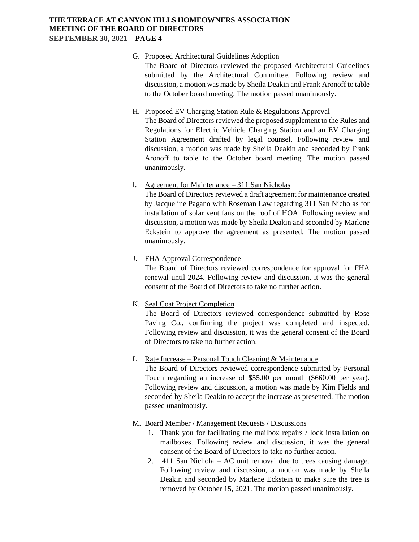## G. Proposed Architectural Guidelines Adoption

The Board of Directors reviewed the proposed Architectural Guidelines submitted by the Architectural Committee. Following review and discussion, a motion was made by Sheila Deakin and Frank Aronoff to table to the October board meeting. The motion passed unanimously.

#### H. Proposed EV Charging Station Rule & Regulations Approval

The Board of Directors reviewed the proposed supplement to the Rules and Regulations for Electric Vehicle Charging Station and an EV Charging Station Agreement drafted by legal counsel. Following review and discussion, a motion was made by Sheila Deakin and seconded by Frank Aronoff to table to the October board meeting. The motion passed unanimously.

## I. Agreement for Maintenance – 311 San Nicholas

The Board of Directors reviewed a draft agreement for maintenance created by Jacqueline Pagano with Roseman Law regarding 311 San Nicholas for installation of solar vent fans on the roof of HOA. Following review and discussion, a motion was made by Sheila Deakin and seconded by Marlene Eckstein to approve the agreement as presented. The motion passed unanimously.

## J. FHA Approval Correspondence

The Board of Directors reviewed correspondence for approval for FHA renewal until 2024. Following review and discussion, it was the general consent of the Board of Directors to take no further action.

## K. Seal Coat Project Completion

The Board of Directors reviewed correspondence submitted by Rose Paving Co., confirming the project was completed and inspected. Following review and discussion, it was the general consent of the Board of Directors to take no further action.

### L. Rate Increase – Personal Touch Cleaning & Maintenance

The Board of Directors reviewed correspondence submitted by Personal Touch regarding an increase of \$55.00 per month (\$660.00 per year). Following review and discussion, a motion was made by Kim Fields and seconded by Sheila Deakin to accept the increase as presented. The motion passed unanimously.

### M. Board Member / Management Requests / Discussions

- 1. Thank you for facilitating the mailbox repairs / lock installation on mailboxes. Following review and discussion, it was the general consent of the Board of Directors to take no further action.
- 2. 411 San Nichola AC unit removal due to trees causing damage. Following review and discussion, a motion was made by Sheila Deakin and seconded by Marlene Eckstein to make sure the tree is removed by October 15, 2021. The motion passed unanimously.